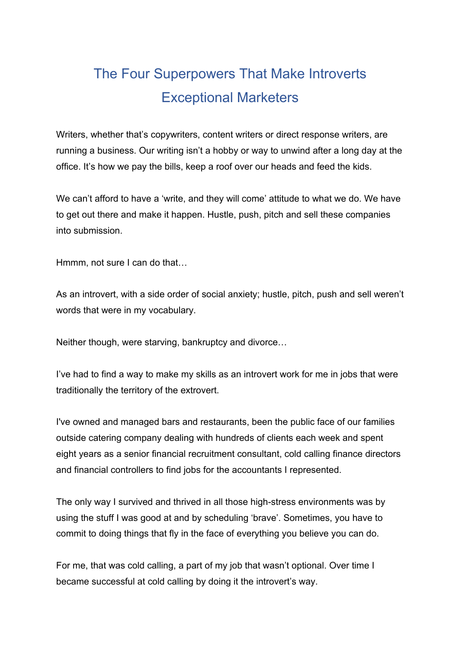# The Four Superpowers That Make Introverts Exceptional Marketers

Writers, whether that's copywriters, content writers or direct response writers, are running a business. Our writing isn't a hobby or way to unwind after a long day at the office. It's how we pay the bills, keep a roof over our heads and feed the kids.

We can't afford to have a 'write, and they will come' attitude to what we do. We have to get out there and make it happen. Hustle, push, pitch and sell these companies into submission.

Hmmm, not sure I can do that…

As an introvert, with a side order of social anxiety; hustle, pitch, push and sell weren't words that were in my vocabulary.

Neither though, were starving, bankruptcy and divorce…

I've had to find a way to make my skills as an introvert work for me in jobs that were traditionally the territory of the extrovert.

I've owned and managed bars and restaurants, been the public face of our families outside catering company dealing with hundreds of clients each week and spent eight years as a senior financial recruitment consultant, cold calling finance directors and financial controllers to find jobs for the accountants I represented.

The only way I survived and thrived in all those high-stress environments was by using the stuff I was good at and by scheduling 'brave'. Sometimes, you have to commit to doing things that fly in the face of everything you believe you can do.

For me, that was cold calling, a part of my job that wasn't optional. Over time I became successful at cold calling by doing it the introvert's way.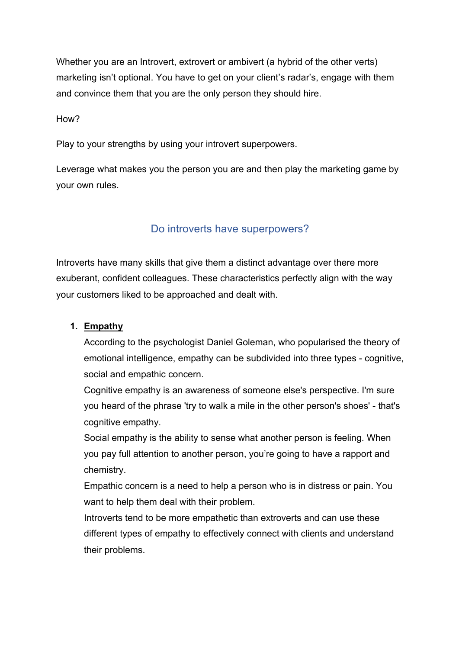Whether you are an Introvert, extrovert or ambivert (a hybrid of the other verts) marketing isn't optional. You have to get on your client's radar's, engage with them and convince them that you are the only person they should hire.

How?

Play to your strengths by using your introvert superpowers.

Leverage what makes you the person you are and then play the marketing game by your own rules.

### Do introverts have superpowers?

Introverts have many skills that give them a distinct advantage over there more exuberant, confident colleagues. These characteristics perfectly align with the way your customers liked to be approached and dealt with.

#### **1. Empathy**

According to the psychologist Daniel Goleman, who popularised the theory of emotional intelligence, empathy can be subdivided into three types - cognitive, social and empathic concern.

Cognitive empathy is an awareness of someone else's perspective. I'm sure you heard of the phrase 'try to walk a mile in the other person's shoes' - that's cognitive empathy.

Social empathy is the ability to sense what another person is feeling. When you pay full attention to another person, you're going to have a rapport and chemistry.

Empathic concern is a need to help a person who is in distress or pain. You want to help them deal with their problem.

Introverts tend to be more empathetic than extroverts and can use these different types of empathy to effectively connect with clients and understand their problems.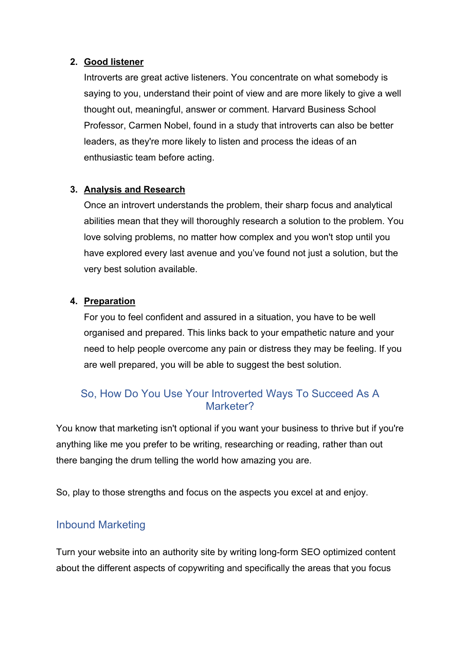#### **2. Good listener**

Introverts are great active listeners. You concentrate on what somebody is saying to you, understand their point of view and are more likely to give a well thought out, meaningful, answer or comment. Harvard Business School Professor, Carmen Nobel, found in a study that introverts can also be better leaders, as they're more likely to listen and process the ideas of an enthusiastic team before acting.

### **3. Analysis and Research**

Once an introvert understands the problem, their sharp focus and analytical abilities mean that they will thoroughly research a solution to the problem. You love solving problems, no matter how complex and you won't stop until you have explored every last avenue and you've found not just a solution, but the very best solution available.

#### **4. Preparation**

For you to feel confident and assured in a situation, you have to be well organised and prepared. This links back to your empathetic nature and your need to help people overcome any pain or distress they may be feeling. If you are well prepared, you will be able to suggest the best solution.

## So, How Do You Use Your Introverted Ways To Succeed As A Marketer?

You know that marketing isn't optional if you want your business to thrive but if you're anything like me you prefer to be writing, researching or reading, rather than out there banging the drum telling the world how amazing you are.

So, play to those strengths and focus on the aspects you excel at and enjoy.

## Inbound Marketing

Turn your website into an authority site by writing long-form SEO optimized content about the different aspects of copywriting and specifically the areas that you focus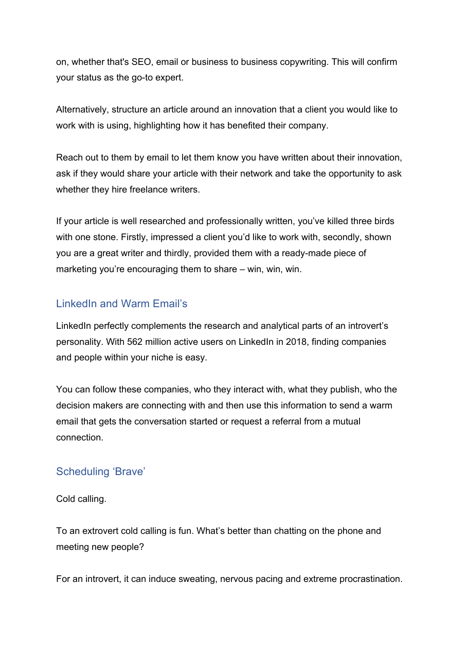on, whether that's SEO, email or business to business copywriting. This will confirm your status as the go-to expert.

Alternatively, structure an article around an innovation that a client you would like to work with is using, highlighting how it has benefited their company.

Reach out to them by email to let them know you have written about their innovation, ask if they would share your article with their network and take the opportunity to ask whether they hire freelance writers.

If your article is well researched and professionally written, you've killed three birds with one stone. Firstly, impressed a client you'd like to work with, secondly, shown you are a great writer and thirdly, provided them with a ready-made piece of marketing you're encouraging them to share – win, win, win.

## LinkedIn and Warm Email's

LinkedIn perfectly complements the research and analytical parts of an introvert's personality. With 562 million active users on LinkedIn in 2018, finding companies and people within your niche is easy.

You can follow these companies, who they interact with, what they publish, who the decision makers are connecting with and then use this information to send a warm email that gets the conversation started or request a referral from a mutual connection.

## Scheduling 'Brave'

Cold calling.

To an extrovert cold calling is fun. What's better than chatting on the phone and meeting new people?

For an introvert, it can induce sweating, nervous pacing and extreme procrastination.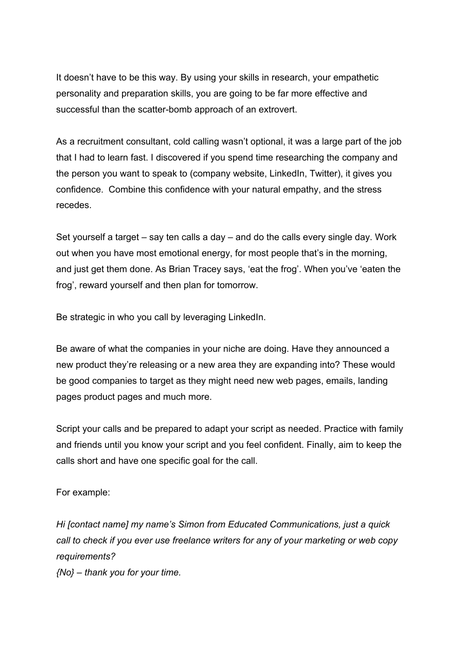It doesn't have to be this way. By using your skills in research, your empathetic personality and preparation skills, you are going to be far more effective and successful than the scatter-bomb approach of an extrovert.

As a recruitment consultant, cold calling wasn't optional, it was a large part of the job that I had to learn fast. I discovered if you spend time researching the company and the person you want to speak to (company website, LinkedIn, Twitter), it gives you confidence. Combine this confidence with your natural empathy, and the stress recedes.

Set yourself a target – say ten calls a day – and do the calls every single day. Work out when you have most emotional energy, for most people that's in the morning, and just get them done. As Brian Tracey says, 'eat the frog'. When you've 'eaten the frog', reward yourself and then plan for tomorrow.

Be strategic in who you call by leveraging LinkedIn.

Be aware of what the companies in your niche are doing. Have they announced a new product they're releasing or a new area they are expanding into? These would be good companies to target as they might need new web pages, emails, landing pages product pages and much more.

Script your calls and be prepared to adapt your script as needed. Practice with family and friends until you know your script and you feel confident. Finally, aim to keep the calls short and have one specific goal for the call.

For example:

*Hi [contact name] my name's Simon from Educated Communications, just a quick call to check if you ever use freelance writers for any of your marketing or web copy requirements?*

*{No} – thank you for your time.*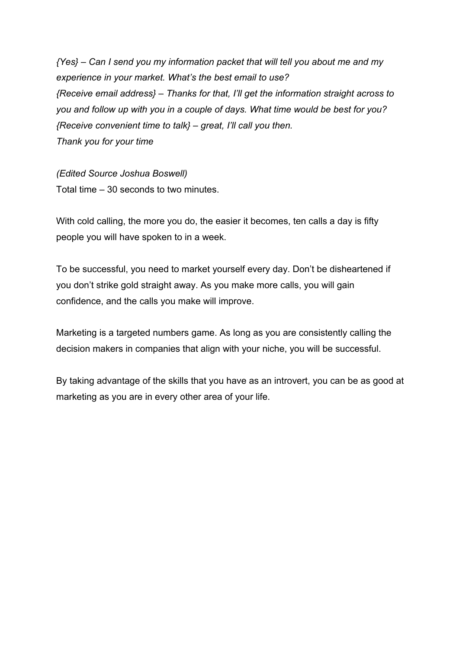*{Yes} – Can I send you my information packet that will tell you about me and my experience in your market. What's the best email to use? {Receive email address} – Thanks for that, I'll get the information straight across to you and follow up with you in a couple of days. What time would be best for you? {Receive convenient time to talk} – great, I'll call you then. Thank you for your time*

*(Edited Source Joshua Boswell)* Total time – 30 seconds to two minutes.

With cold calling, the more you do, the easier it becomes, ten calls a day is fifty people you will have spoken to in a week.

To be successful, you need to market yourself every day. Don't be disheartened if you don't strike gold straight away. As you make more calls, you will gain confidence, and the calls you make will improve.

Marketing is a targeted numbers game. As long as you are consistently calling the decision makers in companies that align with your niche, you will be successful.

By taking advantage of the skills that you have as an introvert, you can be as good at marketing as you are in every other area of your life.